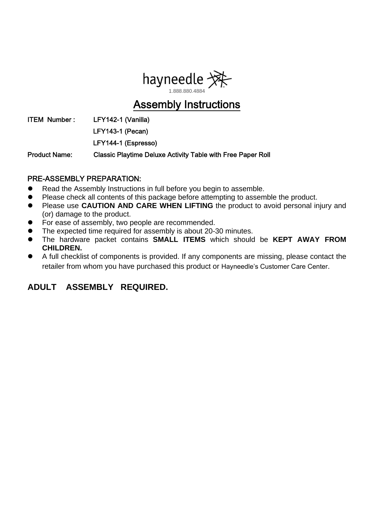

## Assembly Instructions

ITEM Number: LFY142-1 (Vanilla)

LFY143-1 (Pecan)

LFY144-1 (Espresso)

Product Name: Classic Playtime Deluxe Activity Table with Free Paper Roll

#### PRE-ASSEMBLY PREPARATION:

- Read the Assembly Instructions in full before you begin to assemble.
- Please check all contents of this package before attempting to assemble the product.
- **Please use CAUTION AND CARE WHEN LIFTING** the product to avoid personal injury and (or) damage to the product.
- For ease of assembly, two people are recommended.
- The expected time required for assembly is about 20-30 minutes.
- The hardware packet contains **SMALL ITEMS** which should be **KEPT AWAY FROM CHILDREN.**
- A full checklist of components is provided. If any components are missing, please contact the retailer from whom you have purchased this product or Hayneedle's Customer Care Center.

#### **ADULT ASSEMBLY REQUIRED.**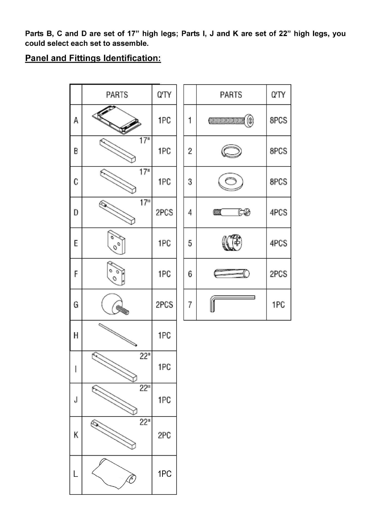Parts B, C and D are set of 17" high legs; Parts I, J and K are set of 22" high legs, you could select each set to assemble.

#### **Panel and Fittings Identification:**

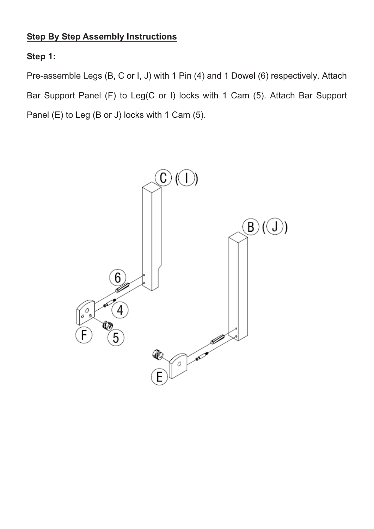#### **Step By Step Assembly Instructions**

## **Step 1:**

Pre-assemble Legs (B, C or I, J) with 1 Pin (4) and 1 Dowel (6) respectively. Attach Bar Support Panel (F) to Leg(C or I) locks with 1 Cam (5). Attach Bar Support Panel (E) to Leg (B or J) locks with 1 Cam (5).

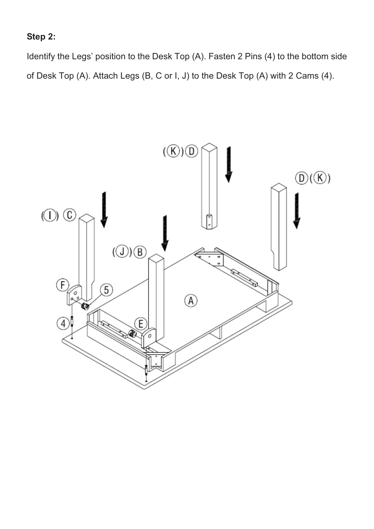#### **Step 2:**

Identify the Legs' position to the Desk Top (A). Fasten 2 Pins (4) to the bottom side of Desk Top (A). Attach Legs (B, C or I, J) to the Desk Top (A) with 2 Cams (4).

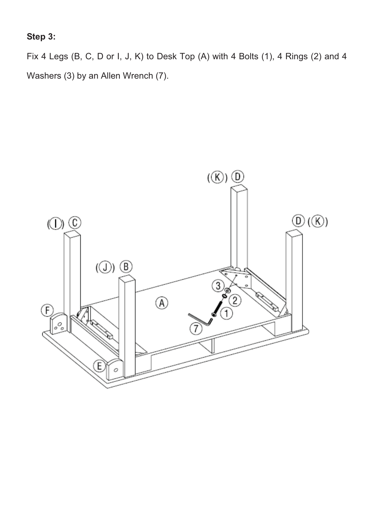## **Step 3:**

Fix 4 Legs (B, C, D or I, J, K) to Desk Top (A) with 4 Bolts (1), 4 Rings (2) and 4 Washers (3) by an Allen Wrench (7).

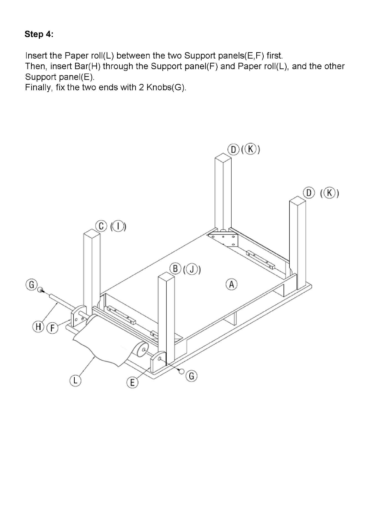## Step 4:

Insert the Paper roll(L) between the two Support panels(E,F) first. Then, insert Bar(H) through the Support panel(F) and Paper roll(L), and the other Support panel(E).

Finally, fix the two ends with 2 Knobs(G).